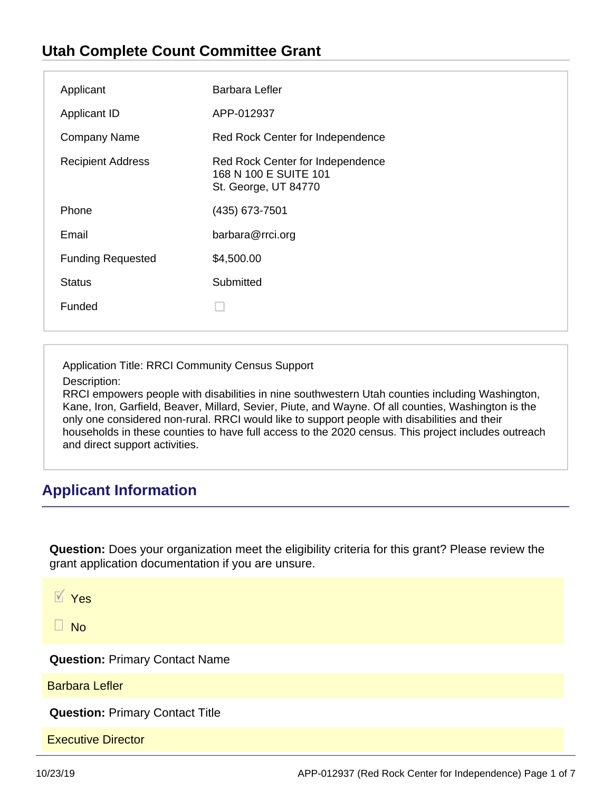## **Utah Complete Count Committee Grant**

| Applicant                | Barbara Lefler                                                                    |
|--------------------------|-----------------------------------------------------------------------------------|
| <b>Applicant ID</b>      | APP-012937                                                                        |
| <b>Company Name</b>      | Red Rock Center for Independence                                                  |
| <b>Recipient Address</b> | Red Rock Center for Independence<br>168 N 100 E SUITE 101<br>St. George, UT 84770 |
| Phone                    | (435) 673-7501                                                                    |
| Email                    | barbara@rrci.org                                                                  |
| <b>Funding Requested</b> | \$4,500.00                                                                        |
| <b>Status</b>            | Submitted                                                                         |
| Funded                   |                                                                                   |

Application Title: RRCI Community Census Support

Description:

RRCI empowers people with disabilities in nine southwestern Utah counties including Washington, Kane, Iron, Garfield, Beaver, Millard, Sevier, Piute, and Wayne. Of all counties, Washington is the only one considered non-rural. RRCI would like to support people with disabilities and their households in these counties to have full access to the 2020 census. This project includes outreach and direct support activities.

# **Applicant Information**

**Question:** Does your organization meet the eligibility criteria for this grant? Please review the grant application documentation if you are unsure.

 $\overline{V}$  Yes

 $\Box$  No

**Question:** Primary Contact Name

Barbara Lefler

**Question:** Primary Contact Title

Executive Director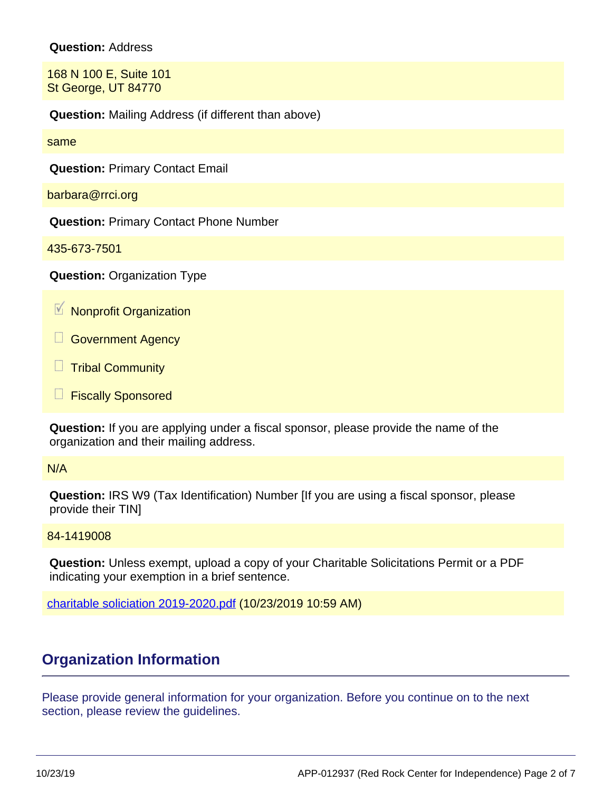#### **Question:** Address

168 N 100 E, Suite 101 St George, UT 84770

**Question:** Mailing Address (if different than above)

same

**Question:** Primary Contact Email

barbara@rrci.org

**Question:** Primary Contact Phone Number

435-673-7501

**Question:** Organization Type

 $M$  Nonprofit Organization

Government Agency

Ш Tribal Community

**Fiscally Sponsored** 

**Question:** If you are applying under a fiscal sponsor, please provide the name of the organization and their mailing address.

#### N/A

**Question:** IRS W9 (Tax Identification) Number [If you are using a fiscal sponsor, please provide their TIN]

84-1419008

**Question:** Unless exempt, upload a copy of your Charitable Solicitations Permit or a PDF indicating your exemption in a brief sentence.

[charitable soliciation 2019-2020.pdf](https://utahdcc.secure.force.com/portal/servlet/servlet.FileDownload?file=00P0g00001dVqUGEA0) (10/23/2019 10:59 AM)

### **Organization Information**

Please provide general information for your organization. Before you continue on to the next section, please review the guidelines.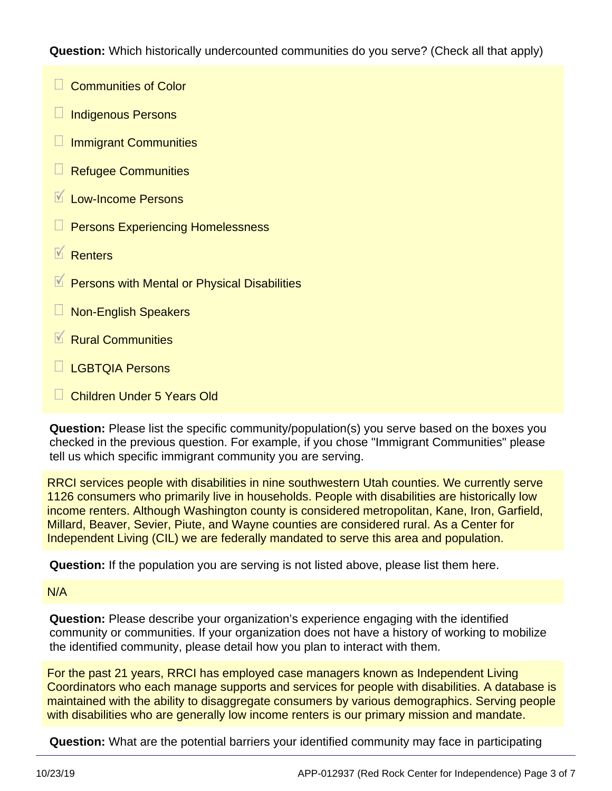**Question:** Which historically undercounted communities do you serve? (Check all that apply)

- **Communities of Color**
- $\Box$ Indigenous Persons
- $\Box$ Immigrant Communities
- Refugee Communities
- Low-Income Persons
- Persons Experiencing Homelessness
- $\overline{\mathsf{v}}$ **Renters**
- Persons with Mental or Physical Disabilities
- Non-English Speakers
- $\overline{\mathsf{v}}$ Rural Communities
- LGBTQIA Persons
- Children Under 5 Years Old

**Question:** Please list the specific community/population(s) you serve based on the boxes you checked in the previous question. For example, if you chose "Immigrant Communities" please tell us which specific immigrant community you are serving.

RRCI services people with disabilities in nine southwestern Utah counties. We currently serve 1126 consumers who primarily live in households. People with disabilities are historically low income renters. Although Washington county is considered metropolitan, Kane, Iron, Garfield, Millard, Beaver, Sevier, Piute, and Wayne counties are considered rural. As a Center for Independent Living (CIL) we are federally mandated to serve this area and population.

**Question:** If the population you are serving is not listed above, please list them here.

#### N/A

**Question:** Please describe your organization's experience engaging with the identified community or communities. If your organization does not have a history of working to mobilize the identified community, please detail how you plan to interact with them.

For the past 21 years, RRCI has employed case managers known as Independent Living Coordinators who each manage supports and services for people with disabilities. A database is maintained with the ability to disaggregate consumers by various demographics. Serving people with disabilities who are generally low income renters is our primary mission and mandate.

**Question:** What are the potential barriers your identified community may face in participating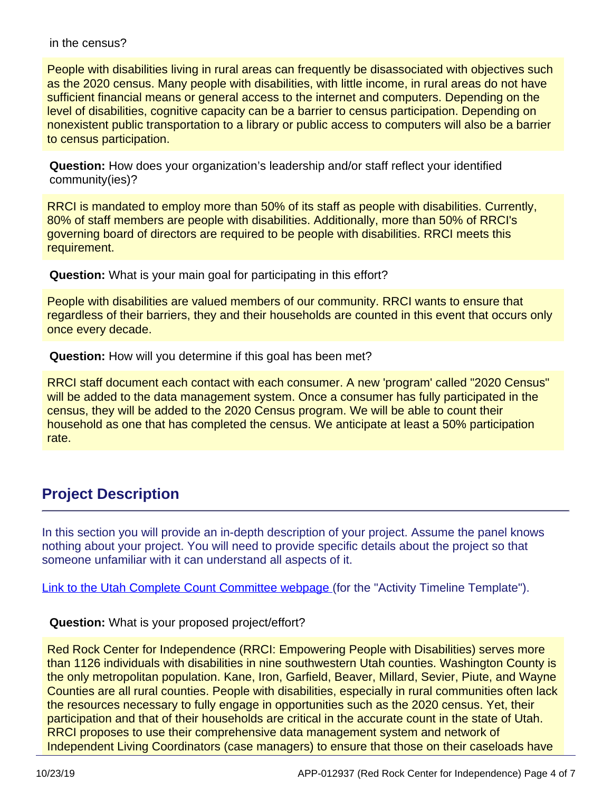#### in the census?

People with disabilities living in rural areas can frequently be disassociated with objectives such as the 2020 census. Many people with disabilities, with little income, in rural areas do not have sufficient financial means or general access to the internet and computers. Depending on the level of disabilities, cognitive capacity can be a barrier to census participation. Depending on nonexistent public transportation to a library or public access to computers will also be a barrier to census participation.

**Question:** How does your organization's leadership and/or staff reflect your identified community(ies)?

RRCI is mandated to employ more than 50% of its staff as people with disabilities. Currently, 80% of staff members are people with disabilities. Additionally, more than 50% of RRCI's governing board of directors are required to be people with disabilities. RRCI meets this requirement.

**Question:** What is your main goal for participating in this effort?

People with disabilities are valued members of our community. RRCI wants to ensure that regardless of their barriers, they and their households are counted in this event that occurs only once every decade.

**Question:** How will you determine if this goal has been met?

RRCI staff document each contact with each consumer. A new 'program' called "2020 Census" will be added to the data management system. Once a consumer has fully participated in the census, they will be added to the 2020 Census program. We will be able to count their household as one that has completed the census. We anticipate at least a 50% participation rate.

### **Project Description**

In this section you will provide an in-depth description of your project. Assume the panel knows nothing about your project. You will need to provide specific details about the project so that someone unfamiliar with it can understand all aspects of it.

[Link to the Utah Complete Count Committee webpage \(](https://gomb.utah.gov/census-2020-state-complete-count-committee/)for the "Activity Timeline Template").

### **Question:** What is your proposed project/effort?

Red Rock Center for Independence (RRCI: Empowering People with Disabilities) serves more than 1126 individuals with disabilities in nine southwestern Utah counties. Washington County is the only metropolitan population. Kane, Iron, Garfield, Beaver, Millard, Sevier, Piute, and Wayne Counties are all rural counties. People with disabilities, especially in rural communities often lack the resources necessary to fully engage in opportunities such as the 2020 census. Yet, their participation and that of their households are critical in the accurate count in the state of Utah. RRCI proposes to use their comprehensive data management system and network of Independent Living Coordinators (case managers) to ensure that those on their caseloads have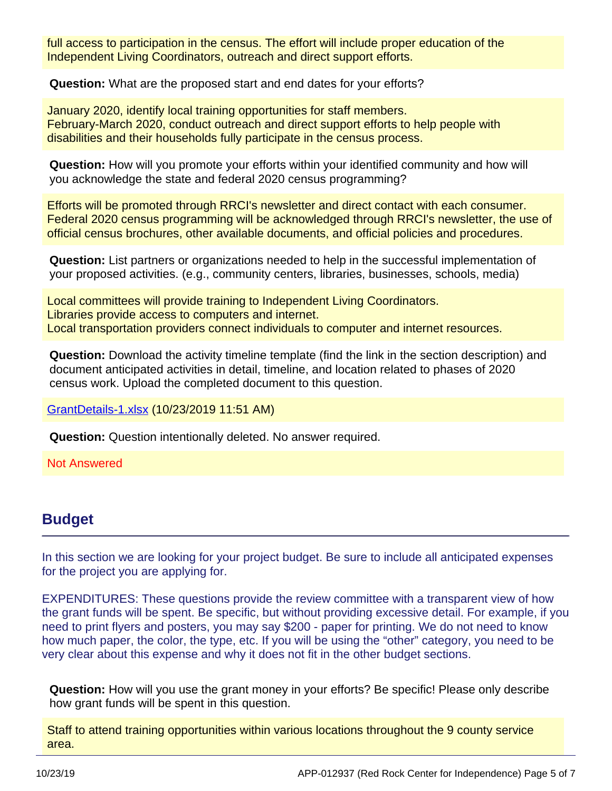full access to participation in the census. The effort will include proper education of the Independent Living Coordinators, outreach and direct support efforts.

**Question:** What are the proposed start and end dates for your efforts?

January 2020, identify local training opportunities for staff members. February-March 2020, conduct outreach and direct support efforts to help people with disabilities and their households fully participate in the census process.

**Question:** How will you promote your efforts within your identified community and how will you acknowledge the state and federal 2020 census programming?

Efforts will be promoted through RRCI's newsletter and direct contact with each consumer. Federal 2020 census programming will be acknowledged through RRCI's newsletter, the use of official census brochures, other available documents, and official policies and procedures.

**Question:** List partners or organizations needed to help in the successful implementation of your proposed activities. (e.g., community centers, libraries, businesses, schools, media)

Local committees will provide training to Independent Living Coordinators. Libraries provide access to computers and internet. Local transportation providers connect individuals to computer and internet resources.

**Question:** Download the activity timeline template (find the link in the section description) and document anticipated activities in detail, timeline, and location related to phases of 2020 census work. Upload the completed document to this question.

[GrantDetails-1.xlsx](https://utahdcc.secure.force.com/portal/servlet/servlet.FileDownload?file=00P0g00001dVrJOEA0) (10/23/2019 11:51 AM)

**Question:** Question intentionally deleted. No answer required.

Not Answered

### **Budget**

In this section we are looking for your project budget. Be sure to include all anticipated expenses for the project you are applying for.

EXPENDITURES: These questions provide the review committee with a transparent view of how the grant funds will be spent. Be specific, but without providing excessive detail. For example, if you need to print flyers and posters, you may say \$200 - paper for printing. We do not need to know how much paper, the color, the type, etc. If you will be using the "other" category, you need to be very clear about this expense and why it does not fit in the other budget sections.

**Question:** How will you use the grant money in your efforts? Be specific! Please only describe how grant funds will be spent in this question.

Staff to attend training opportunities within various locations throughout the 9 county service area.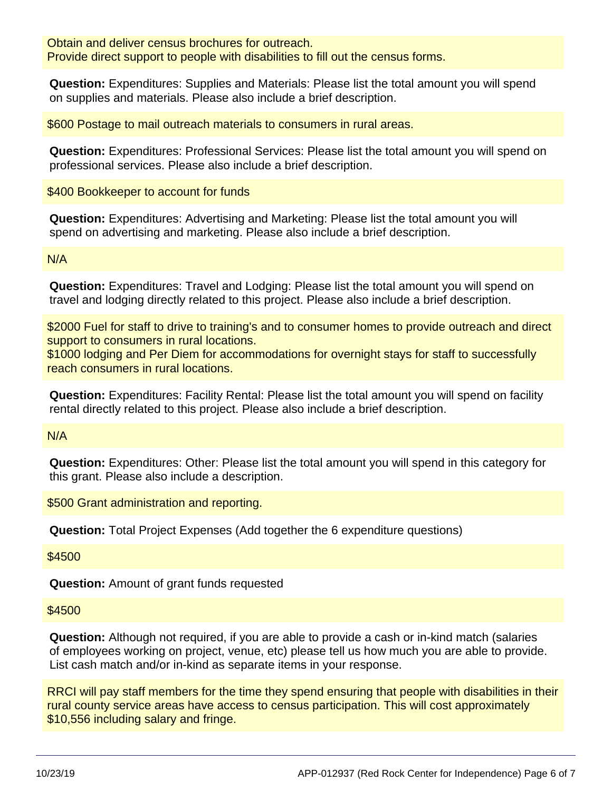Obtain and deliver census brochures for outreach. Provide direct support to people with disabilities to fill out the census forms.

**Question:** Expenditures: Supplies and Materials: Please list the total amount you will spend on supplies and materials. Please also include a brief description.

\$600 Postage to mail outreach materials to consumers in rural areas.

**Question:** Expenditures: Professional Services: Please list the total amount you will spend on professional services. Please also include a brief description.

\$400 Bookkeeper to account for funds

**Question:** Expenditures: Advertising and Marketing: Please list the total amount you will spend on advertising and marketing. Please also include a brief description.

N/A

**Question:** Expenditures: Travel and Lodging: Please list the total amount you will spend on travel and lodging directly related to this project. Please also include a brief description.

\$2000 Fuel for staff to drive to training's and to consumer homes to provide outreach and direct support to consumers in rural locations.

\$1000 lodging and Per Diem for accommodations for overnight stays for staff to successfully reach consumers in rural locations.

**Question:** Expenditures: Facility Rental: Please list the total amount you will spend on facility rental directly related to this project. Please also include a brief description.

N/A

**Question:** Expenditures: Other: Please list the total amount you will spend in this category for this grant. Please also include a description.

\$500 Grant administration and reporting.

**Question:** Total Project Expenses (Add together the 6 expenditure questions)

\$4500

**Question:** Amount of grant funds requested

\$4500

**Question:** Although not required, if you are able to provide a cash or in-kind match (salaries of employees working on project, venue, etc) please tell us how much you are able to provide. List cash match and/or in-kind as separate items in your response.

RRCI will pay staff members for the time they spend ensuring that people with disabilities in their rural county service areas have access to census participation. This will cost approximately \$10,556 including salary and fringe.